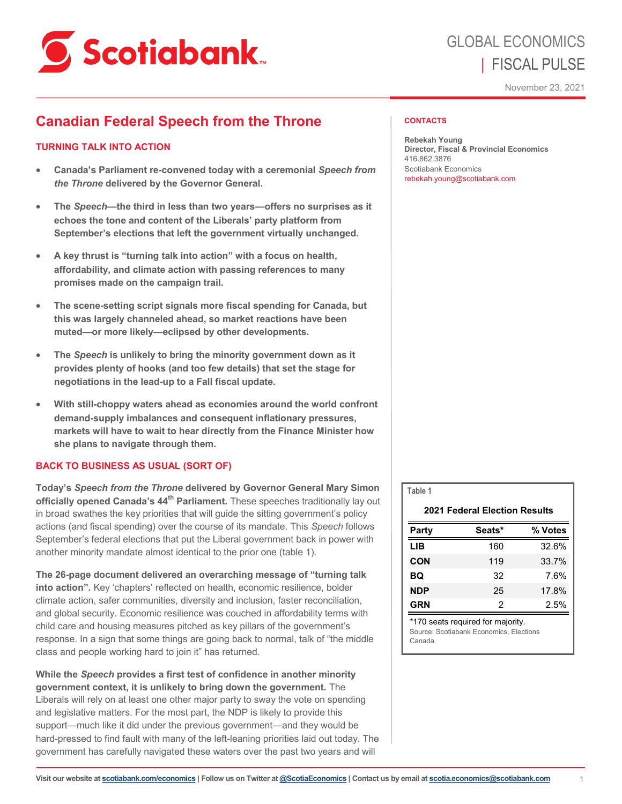

# GLOBAL ECONOMICS | FISCAL PULSE

November 23, 2021

# **Canadian Federal Speech from the Throne**

## **TURNING TALK INTO ACTION**

- **Canada's Parliament re-convened today with a ceremonial** *Speech from the Throne* **delivered by the Governor General.**
- **The** *Speech***—the third in less than two years—offers no surprises as it echoes the tone and content of the Liberals' party platform from September's elections that left the government virtually unchanged.**
- **A key thrust is "turning talk into action" with a focus on health, affordability, and climate action with passing references to many promises made on the campaign trail.**
- **The scene-setting script signals more fiscal spending for Canada, but this was largely channeled ahead, so market reactions have been muted—or more likely—eclipsed by other developments.**
- **The** *Speech* **is unlikely to bring the minority government down as it provides plenty of hooks (and too few details) that set the stage for negotiations in the lead-up to a Fall fiscal update.**
- **With still-choppy waters ahead as economies around the world confront demand-supply imbalances and consequent inflationary pressures, markets will have to wait to hear directly from the Finance Minister how she plans to navigate through them.**

## **BACK TO BUSINESS AS USUAL (SORT OF)**

**Today's** *Speech from the Throne* **delivered by Governor General Mary Simon officially opened Canada's 44th Parliament.** These speeches traditionally lay out in broad swathes the key priorities that will guide the sitting government's policy actions (and fiscal spending) over the course of its mandate. This *Speech* follows September's federal elections that put the Liberal government back in power with another minority mandate almost identical to the prior one (table 1).

**The 26-page document delivered an overarching message of "turning talk into action".** Key 'chapters' reflected on health, economic resilience, bolder climate action, safer communities, diversity and inclusion, faster reconciliation, and global security. Economic resilience was couched in affordability terms with child care and housing measures pitched as key pillars of the government's response. In a sign that some things are going back to normal, talk of "the middle class and people working hard to join it" has returned.

**While the** *Speech* **provides a first test of confidence in another minority government context, it is unlikely to bring down the government.** The Liberals will rely on at least one other major party to sway the vote on spending and legislative matters. For the most part, the NDP is likely to provide this support—much like it did under the previous government—and they would be hard-pressed to find fault with many of the left-leaning priorities laid out today. The government has carefully navigated these waters over the past two years and will

#### **CONTACTS**

**Rebekah Young Director, Fiscal & Provincial Economics** 416.862.3876 Scotiabank Economics rebekah.young@scotiabank.com

| Table 1                              |        |         |
|--------------------------------------|--------|---------|
| <b>2021 Federal Election Results</b> |        |         |
| Party                                | Seats* | % Votes |
| LIB                                  | 160    | 32.6%   |
| <b>CON</b>                           | 119    | 33.7%   |
| BQ                                   | 32     | 7.6%    |
| <b>NDP</b>                           | 25     | 17.8%   |
| <b>GRN</b>                           | 2      | 2.5%    |

\*170 seats required for majority. Source: Scotiabank Economics, Elections Canada.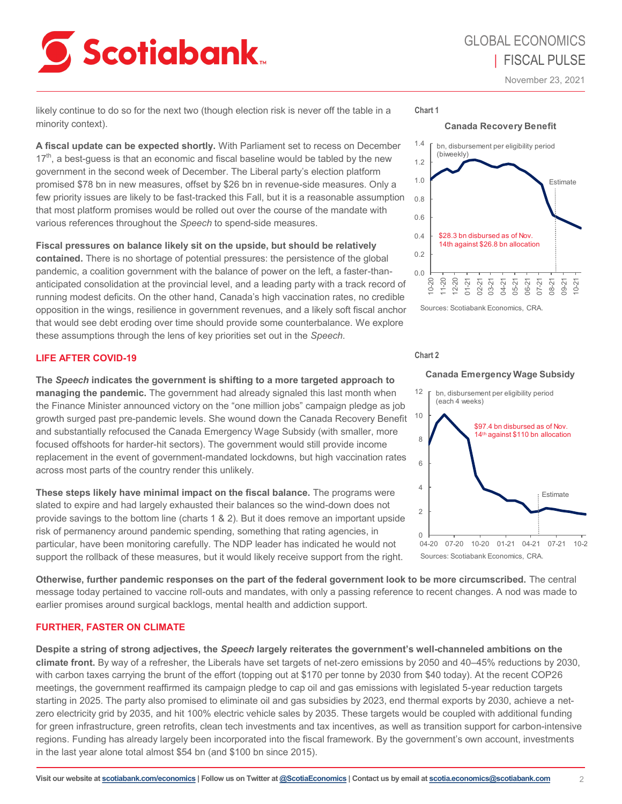# **Scotiabank**

# GLOBAL ECONOMICS | FISCAL PULSE

November 23, 2021

likely continue to do so for the next two (though election risk is never off the table in a minority context).

**A fiscal update can be expected shortly.** With Parliament set to recess on December 17<sup>th</sup>, a best-quess is that an economic and fiscal baseline would be tabled by the new government in the second week of December. The Liberal party's election platform promised \$78 bn in new measures, offset by \$26 bn in revenue-side measures. Only a few priority issues are likely to be fast-tracked this Fall, but it is a reasonable assumption that most platform promises would be rolled out over the course of the mandate with various references throughout the *Speech* to spend-side measures.

**Fiscal pressures on balance likely sit on the upside, but should be relatively contained.** There is no shortage of potential pressures: the persistence of the global pandemic, a coalition government with the balance of power on the left, a faster-thananticipated consolidation at the provincial level, and a leading party with a track record of running modest deficits. On the other hand, Canada's high vaccination rates, no credible opposition in the wings, resilience in government revenues, and a likely soft fiscal anchor that would see debt eroding over time should provide some counterbalance. We explore these assumptions through the lens of key priorities set out in the *Speech*.

## **LIFE AFTER COVID-19**

**The** *Speech* **indicates the government is shifting to a more targeted approach to managing the pandemic.** The government had already signaled this last month when the Finance Minister announced victory on the "one million jobs" campaign pledge as job growth surged past pre-pandemic levels. She wound down the Canada Recovery Benefit and substantially refocused the Canada Emergency Wage Subsidy (with smaller, more focused offshoots for harder-hit sectors). The government would still provide income replacement in the event of government-mandated lockdowns, but high vaccination rates across most parts of the country render this unlikely.

**These steps likely have minimal impact on the fiscal balance.** The programs were slated to expire and had largely exhausted their balances so the wind-down does not provide savings to the bottom line (charts 1 & 2). But it does remove an important upside risk of permanency around pandemic spending, something that rating agencies, in particular, have been monitoring carefully. The NDP leader has indicated he would not support the rollback of these measures, but it would likely receive support from the right.





Sources: Scotiabank Economics, CRA.

#### **Chart 2**

#### **Canada Emergency Wage Subsidy**



**Otherwise, further pandemic responses on the part of the federal government look to be more circumscribed.** The central message today pertained to vaccine roll-outs and mandates, with only a passing reference to recent changes. A nod was made to earlier promises around surgical backlogs, mental health and addiction support.

#### **FURTHER, FASTER ON CLIMATE**

**Despite a string of strong adjectives, the** *Speech* **largely reiterates the government's well-channeled ambitions on the climate front.** By way of a refresher, the Liberals have set targets of net-zero emissions by 2050 and 40–45% reductions by 2030, with carbon taxes carrying the brunt of the effort (topping out at \$170 per tonne by 2030 from \$40 today). At the recent COP26 meetings, the government reaffirmed its campaign pledge to cap oil and gas emissions with legislated 5-year reduction targets starting in 2025. The party also promised to eliminate oil and gas subsidies by 2023, end thermal exports by 2030, achieve a netzero electricity grid by 2035, and hit 100% electric vehicle sales by 2035. These targets would be coupled with additional funding for green infrastructure, green retrofits, clean tech investments and tax incentives, as well as transition support for carbon-intensive regions. Funding has already largely been incorporated into the fiscal framework. By the government's own account, investments in the last year alone total almost \$54 bn (and \$100 bn since 2015).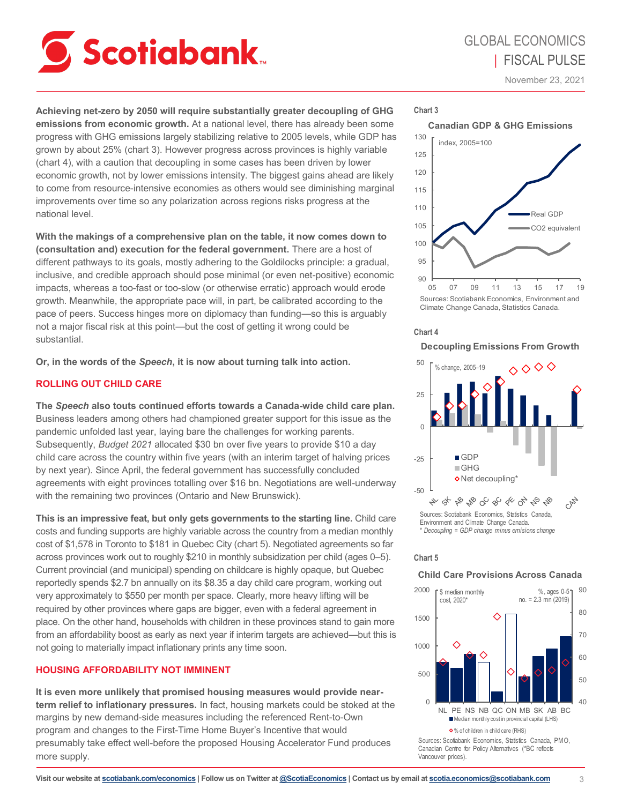

November 23, 2021

**Achieving net-zero by 2050 will require substantially greater decoupling of GHG emissions from economic growth.** At a national level, there has already been some progress with GHG emissions largely stabilizing relative to 2005 levels, while GDP has grown by about 25% (chart 3). However progress across provinces is highly variable (chart 4), with a caution that decoupling in some cases has been driven by lower economic growth, not by lower emissions intensity. The biggest gains ahead are likely to come from resource-intensive economies as others would see diminishing marginal improvements over time so any polarization across regions risks progress at the national level.

**With the makings of a comprehensive plan on the table, it now comes down to (consultation and) execution for the federal government.** There are a host of different pathways to its goals, mostly adhering to the Goldilocks principle: a gradual, inclusive, and credible approach should pose minimal (or even net-positive) economic impacts, whereas a too-fast or too-slow (or otherwise erratic) approach would erode growth. Meanwhile, the appropriate pace will, in part, be calibrated according to the pace of peers. Success hinges more on diplomacy than funding—so this is arguably not a major fiscal risk at this point—but the cost of getting it wrong could be substantial.

**Or, in the words of the** *Speech***, it is now about turning talk into action.**

### **ROLLING OUT CHILD CARE**

**The** *Speech* **also touts continued efforts towards a Canada-wide child care plan.**  Business leaders among others had championed greater support for this issue as the pandemic unfolded last year, laying bare the challenges for working parents. Subsequently, *Budget 2021* allocated \$30 bn over five years to provide \$10 a day child care across the country within five years (with an interim target of halving prices by next year). Since April, the federal government has successfully concluded agreements with eight provinces totalling over \$16 bn. Negotiations are well-underway with the remaining two provinces (Ontario and New Brunswick).

**This is an impressive feat, but only gets governments to the starting line.** Child care costs and funding supports are highly variable across the country from a median monthly cost of \$1,578 in Toronto to \$181 in Quebec City (chart 5). Negotiated agreements so far across provinces work out to roughly \$210 in monthly subsidization per child (ages 0–5). Current provincial (and municipal) spending on childcare is highly opaque, but Quebec reportedly spends \$2.7 bn annually on its \$8.35 a day child care program, working out very approximately to \$550 per month per space. Clearly, more heavy lifting will be required by other provinces where gaps are bigger, even with a federal agreement in place. On the other hand, households with children in these provinces stand to gain more from an affordability boost as early as next year if interim targets are achieved—but this is not going to materially impact inflationary prints any time soon.

## **HOUSING AFFORDABILITY NOT IMMINENT**

**It is even more unlikely that promised housing measures would provide nearterm relief to inflationary pressures.** In fact, housing markets could be stoked at the margins by new demand-side measures including the referenced Rent-to-Own program and changes to the First-Time Home Buyer's Incentive that would presumably take effect well-before the proposed Housing Accelerator Fund produces more supply.







#### **Chart 4**

#### **Decoupling Emissions From Growth**



#### **Chart 5**

#### **Child Care Provisions Across Canada**

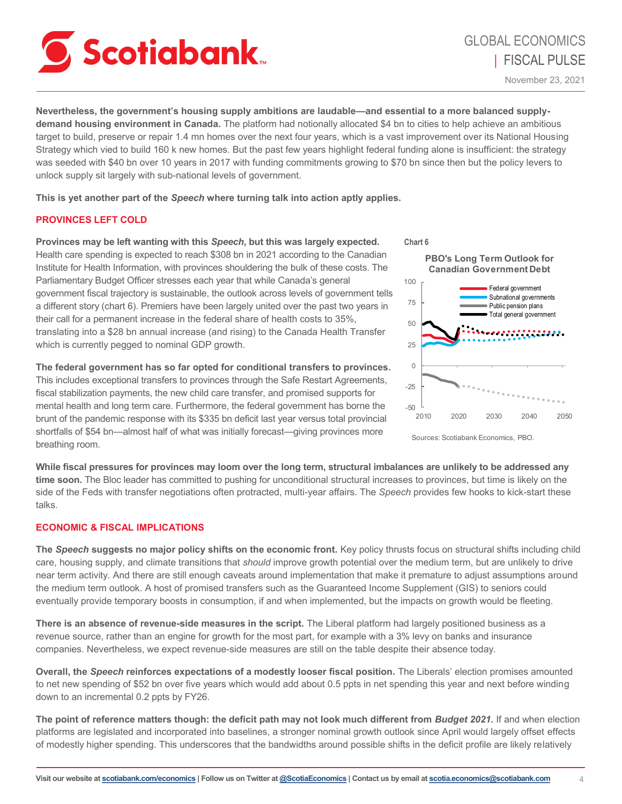

**Nevertheless, the government's housing supply ambitions are laudable—and essential to a more balanced supplydemand housing environment in Canada.** The platform had notionally allocated \$4 bn to cities to help achieve an ambitious target to build, preserve or repair 1.4 mn homes over the next four years, which is a vast improvement over its National Housing Strategy which vied to build 160 k new homes. But the past few years highlight federal funding alone is insufficient: the strategy was seeded with \$40 bn over 10 years in 2017 with funding commitments growing to \$70 bn since then but the policy levers to unlock supply sit largely with sub-national levels of government.

**This is yet another part of the** *Speech* **where turning talk into action aptly applies.**

### **PROVINCES LEFT COLD**

**Provinces may be left wanting with this** *Speech***, but this was largely expected.**  Health care spending is expected to reach \$308 bn in 2021 according to the Canadian Institute for Health Information, with provinces shouldering the bulk of these costs. The Parliamentary Budget Officer stresses each year that while Canada's general government fiscal trajectory is sustainable, the outlook across levels of government tells a different story (chart 6). Premiers have been largely united over the past two years in their call for a permanent increase in the federal share of health costs to 35%, translating into a \$28 bn annual increase (and rising) to the Canada Health Transfer which is currently pegged to nominal GDP growth.

**The federal government has so far opted for conditional transfers to provinces.**  This includes exceptional transfers to provinces through the Safe Restart Agreements, fiscal stabilization payments, the new child care transfer, and promised supports for mental health and long term care. Furthermore, the federal government has borne the brunt of the pandemic response with its \$335 bn deficit last year versus total provincial shortfalls of \$54 bn—almost half of what was initially forecast—giving provinces more breathing room.



Sources: Scotiabank Economics, PBO.

**While fiscal pressures for provinces may loom over the long term, structural imbalances are unlikely to be addressed any time soon.** The Bloc leader has committed to pushing for unconditional structural increases to provinces, but time is likely on the side of the Feds with transfer negotiations often protracted, multi-year affairs. The *Speech* provides few hooks to kick-start these talks.

#### **ECONOMIC & FISCAL IMPLICATIONS**

**The** *Speech* **suggests no major policy shifts on the economic front.** Key policy thrusts focus on structural shifts including child care, housing supply, and climate transitions that *should* improve growth potential over the medium term, but are unlikely to drive near term activity. And there are still enough caveats around implementation that make it premature to adjust assumptions around the medium term outlook. A host of promised transfers such as the Guaranteed Income Supplement (GIS) to seniors could eventually provide temporary boosts in consumption, if and when implemented, but the impacts on growth would be fleeting.

**There is an absence of revenue-side measures in the script.** The Liberal platform had largely positioned business as a revenue source, rather than an engine for growth for the most part, for example with a 3% levy on banks and insurance companies. Nevertheless, we expect revenue-side measures are still on the table despite their absence today.

**Overall, the** *Speech* **reinforces expectations of a modestly looser fiscal position.** The Liberals' election promises amounted to net new spending of \$52 bn over five years which would add about 0.5 ppts in net spending this year and next before winding down to an incremental 0.2 ppts by FY26.

**The point of reference matters though: the deficit path may not look much different from** *Budget 2021.* If and when election platforms are legislated and incorporated into baselines, a stronger nominal growth outlook since April would largely offset effects of modestly higher spending. This underscores that the bandwidths around possible shifts in the deficit profile are likely relatively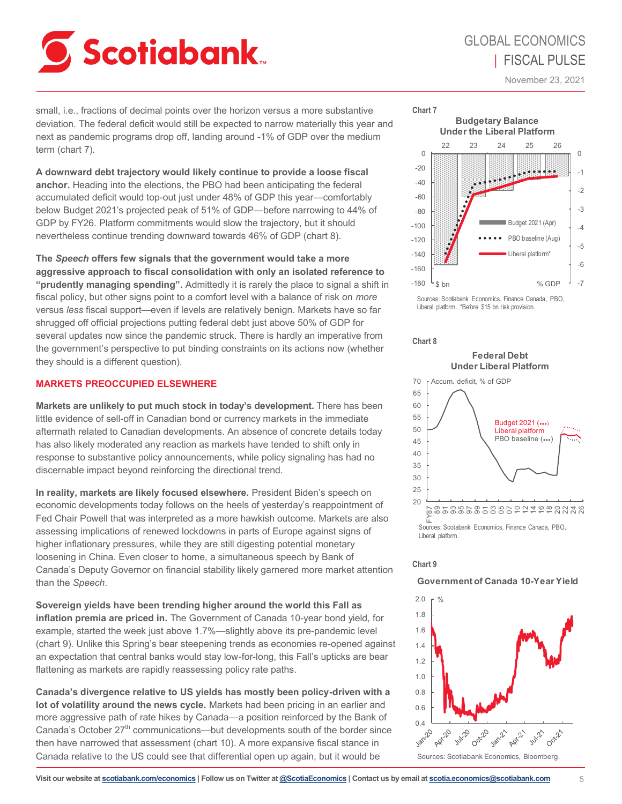

# GLOBAL ECONOMICS | FISCAL PULSE

November 23, 2021

small, i.e., fractions of decimal points over the horizon versus a more substantive **Chart 7** deviation. The federal deficit would still be expected to narrow materially this year and next as pandemic programs drop off, landing around -1% of GDP over the medium term (chart 7).

**A downward debt trajectory would likely continue to provide a loose fiscal anchor.** Heading into the elections, the PBO had been anticipating the federal accumulated deficit would top-out just under 48% of GDP this year—comfortably below Budget 2021's projected peak of 51% of GDP—before narrowing to 44% of GDP by FY26. Platform commitments would slow the trajectory, but it should nevertheless continue trending downward towards 46% of GDP (chart 8).

**The** *Speech* **offers few signals that the government would take a more aggressive approach to fiscal consolidation with only an isolated reference to "prudently managing spending".** Admittedly it is rarely the place to signal a shift in fiscal policy, but other signs point to a comfort level with a balance of risk on *more* versus *less* fiscal support—even if levels are relatively benign. Markets have so far shrugged off official projections putting federal debt just above 50% of GDP for several updates now since the pandemic struck. There is hardly an imperative from the government's perspective to put binding constraints on its actions now (whether they should is a different question).

#### **MARKETS PREOCCUPIED ELSEWHERE**

**Markets are unlikely to put much stock in today's development.** There has been little evidence of sell-off in Canadian bond or currency markets in the immediate aftermath related to Canadian developments. An absence of concrete details today has also likely moderated any reaction as markets have tended to shift only in response to substantive policy announcements, while policy signaling has had no discernable impact beyond reinforcing the directional trend.

**In reality, markets are likely focused elsewhere.** President Biden's speech on economic developments today follows on the heels of yesterday's reappointment of Fed Chair Powell that was interpreted as a more hawkish outcome. Markets are also assessing implications of renewed lockdowns in parts of Europe against signs of higher inflationary pressures, while they are still digesting potential monetary loosening in China. Even closer to home, a simultaneous speech by Bank of Canada's Deputy Governor on financial stability likely garnered more market attention than the *Speech*.

**Sovereign yields have been trending higher around the world this Fall as inflation premia are priced in.** The Government of Canada 10-year bond yield, for example, started the week just above 1.7%—slightly above its pre-pandemic level (chart 9). Unlike this Spring's bear steepening trends as economies re-opened against an expectation that central banks would stay low-for-long, this Fall's upticks are bear flattening as markets are rapidly reassessing policy rate paths.

**Canada's divergence relative to US yields has mostly been policy-driven with a lot of volatility around the news cycle.** Markets had been pricing in an earlier and more aggressive path of rate hikes by Canada—a position reinforced by the Bank of Canada's October  $27<sup>th</sup>$  communications—but developments south of the border since then have narrowed that assessment (chart 10). A more expansive fiscal stance in Canada relative to the US could see that differential open up again, but it would be



Sources: Scotiabank Economics, Finance Canada, PBO, Liberal platform. \*Before \$15 bn risk provision.



#### **Federal Debt Under Liberal Platform**



#### **Chart 9**

#### **Government of Canada 10-Year Yield**



Sources: Scotiabank Economics, Bloomberg.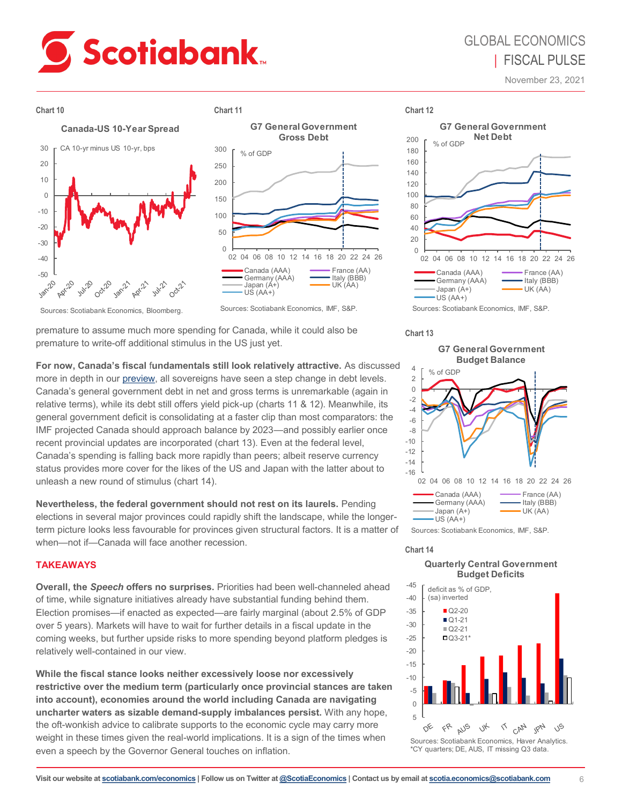# **Scotiabank**

# GLOBAL ECONOMICS | FISCAL PULSE

November 23, 2021





Sources: Scotiabank Economics, Bloomberg.

premature to assume much more spending for Canada, while it could also be premature to write-off additional stimulus in the US just yet.

**For now, Canada's fiscal** f**undamentals still look relatively attractive.** As discussed more in depth in our [preview,](https://www.scotiabank.com/content/scotiabank/ca/en/about/economics/economics-publications/post.other-publications.fiscal-policy.fiscal-pulse.federal.federal-budget-analysis.canadian-federal-fall-fiscal-preview--november-15--2021-.html) all sovereigns have seen a step change in debt levels. Canada's general government debt in net and gross terms is unremarkable (again in relative terms), while its debt still offers yield pick-up (charts 11 & 12). Meanwhile, its general government deficit is consolidating at a faster clip than most comparators: the IMF projected Canada should approach balance by 2023—and possibly earlier once recent provincial updates are incorporated (chart 13). Even at the federal level, Canada's spending is falling back more rapidly than peers; albeit reserve currency status provides more cover for the likes of the US and Japan with the latter about to unleash a new round of stimulus (chart 14).

**Nevertheless, the federal government should not rest on its laurels.** Pending elections in several major provinces could rapidly shift the landscape, while the longerterm picture looks less favourable for provinces given structural factors. It is a matter of when—not if—Canada will face another recession.

## **TAKEAWAYS**

**Overall, the** *Speech* **offers no surprises.** Priorities had been well-channeled ahead of time, while signature initiatives already have substantial funding behind them. Election promises—if enacted as expected—are fairly marginal (about 2.5% of GDP over 5 years). Markets will have to wait for further details in a fiscal update in the coming weeks, but further upside risks to more spending beyond platform pledges is relatively well-contained in our view.

**While the fiscal stance looks neither excessively loose nor excessively restrictive over the medium term (particularly once provincial stances are taken into account), economies around the world including Canada are navigating uncharter waters as sizable demand-supply imbalances persist.** With any hope, the oft-wonkish advice to calibrate supports to the economic cycle may carry more weight in these times given the real-world implications. It is a sign of the times when even a speech by the Governor General touches on inflation.



**Chart 13**





## **Chart 14**

#### **Quarterly Central Government Budget Deficits**



\*CY quarters; DE, AUS, IT missing Q3 data.